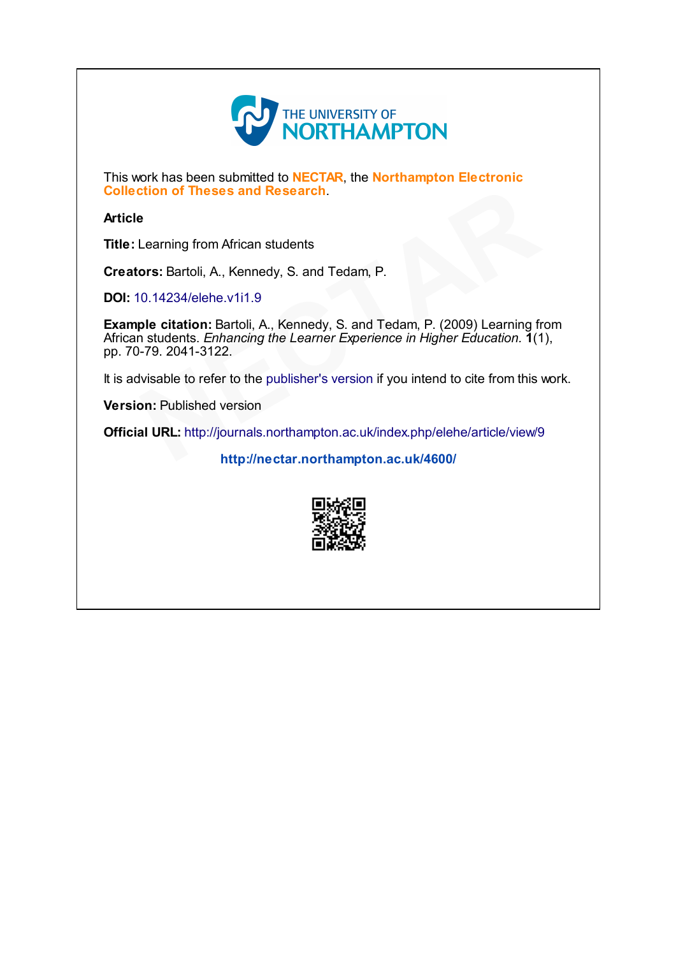

This work has been submitted to **NECTAR**, the **Northampton Electronic** Collection of Theses and Research.

#### Article

Title: Learning from African students

Creators: Bartoli, A., Kennedy, S. and Tedam, P.

DOI: [10.14234/elehe.v1i1.9](http://dx.doi.org/10.14234/elehe.v1i1.9)

Example citation: Bartoli, A., Kennedy, S. and Tedam, P. (2009) Learning from African students. Enhancing the Learner Experience in Higher Education. 1(1), pp. 70-79. 2041-3122. **Example 35 and Research.**<br>
Som African students<br>
A., Kennedy, S. and Tedam, P.<br>
Ehe.v1i1.9<br>
1: Bartoli, A., Kennedy, S. and Tedam, P. (2009) Learning fr<br>
Enhancing the Learner Experience in Higher Education. 1(1<br>
3122.<br>
e

It is advisable to refer to the publisher's version if you intend to cite from this work.<br> **Version:** Published version<br> **Official URL:** http://journals.northampton.ac.uk/index.php/elehe/article/view/9<br>
http://ne.ctar.nort

Version: Published version

Official URL: <http://journals.northampton.ac.uk/index.php/elehe/article/view/9>

<http://nectar.northampton.ac.uk/4600/>

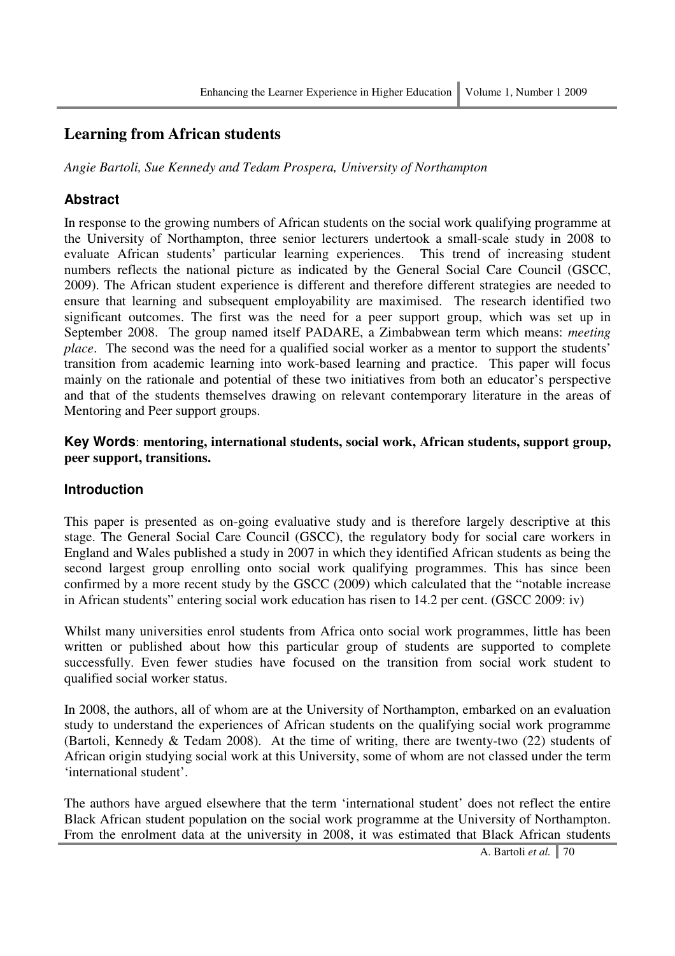# **Learning from African students**

*Angie Bartoli, Sue Kennedy and Tedam Prospera, University of Northampton* 

### **Abstract**

In response to the growing numbers of African students on the social work qualifying programme at the University of Northampton, three senior lecturers undertook a small-scale study in 2008 to evaluate African students' particular learning experiences. This trend of increasing student numbers reflects the national picture as indicated by the General Social Care Council (GSCC, 2009). The African student experience is different and therefore different strategies are needed to ensure that learning and subsequent employability are maximised. The research identified two significant outcomes. The first was the need for a peer support group, which was set up in September 2008. The group named itself PADARE, a Zimbabwean term which means: *meeting place*. The second was the need for a qualified social worker as a mentor to support the students' transition from academic learning into work-based learning and practice. This paper will focus mainly on the rationale and potential of these two initiatives from both an educator's perspective and that of the students themselves drawing on relevant contemporary literature in the areas of Mentoring and Peer support groups.

**Key Words**: **mentoring, international students, social work, African students, support group, peer support, transitions.**

### **Introduction**

This paper is presented as on-going evaluative study and is therefore largely descriptive at this stage. The General Social Care Council (GSCC), the regulatory body for social care workers in England and Wales published a study in 2007 in which they identified African students as being the second largest group enrolling onto social work qualifying programmes. This has since been confirmed by a more recent study by the GSCC (2009) which calculated that the "notable increase in African students" entering social work education has risen to 14.2 per cent. (GSCC 2009: iv)

Whilst many universities enrol students from Africa onto social work programmes, little has been written or published about how this particular group of students are supported to complete successfully. Even fewer studies have focused on the transition from social work student to qualified social worker status.

In 2008, the authors, all of whom are at the University of Northampton, embarked on an evaluation study to understand the experiences of African students on the qualifying social work programme (Bartoli, Kennedy & Tedam 2008). At the time of writing, there are twenty-two (22) students of African origin studying social work at this University, some of whom are not classed under the term 'international student'.

The authors have argued elsewhere that the term 'international student' does not reflect the entire Black African student population on the social work programme at the University of Northampton. From the enrolment data at the university in 2008, it was estimated that Black African students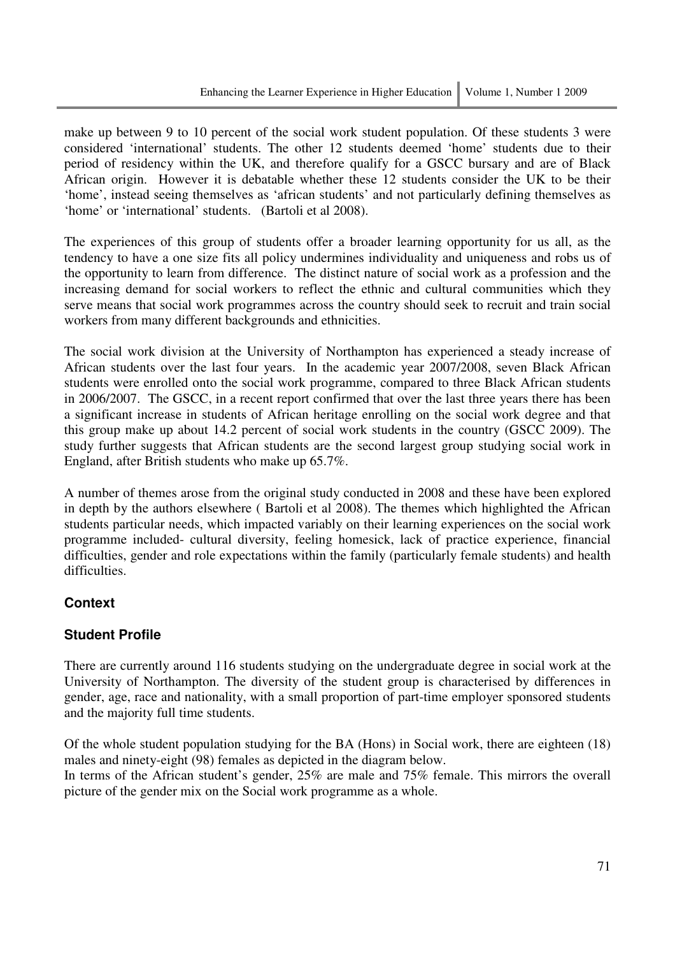make up between 9 to 10 percent of the social work student population. Of these students 3 were considered 'international' students. The other 12 students deemed 'home' students due to their period of residency within the UK, and therefore qualify for a GSCC bursary and are of Black African origin. However it is debatable whether these 12 students consider the UK to be their 'home', instead seeing themselves as 'african students' and not particularly defining themselves as 'home' or 'international' students. (Bartoli et al 2008).

The experiences of this group of students offer a broader learning opportunity for us all, as the tendency to have a one size fits all policy undermines individuality and uniqueness and robs us of the opportunity to learn from difference. The distinct nature of social work as a profession and the increasing demand for social workers to reflect the ethnic and cultural communities which they serve means that social work programmes across the country should seek to recruit and train social workers from many different backgrounds and ethnicities.

The social work division at the University of Northampton has experienced a steady increase of African students over the last four years. In the academic year 2007/2008, seven Black African students were enrolled onto the social work programme, compared to three Black African students in 2006/2007. The GSCC, in a recent report confirmed that over the last three years there has been a significant increase in students of African heritage enrolling on the social work degree and that this group make up about 14.2 percent of social work students in the country (GSCC 2009). The study further suggests that African students are the second largest group studying social work in England, after British students who make up 65.7%.

A number of themes arose from the original study conducted in 2008 and these have been explored in depth by the authors elsewhere ( Bartoli et al 2008). The themes which highlighted the African students particular needs, which impacted variably on their learning experiences on the social work programme included- cultural diversity, feeling homesick, lack of practice experience, financial difficulties, gender and role expectations within the family (particularly female students) and health difficulties.

# **Context**

# **Student Profile**

There are currently around 116 students studying on the undergraduate degree in social work at the University of Northampton. The diversity of the student group is characterised by differences in gender, age, race and nationality, with a small proportion of part-time employer sponsored students and the majority full time students.

Of the whole student population studying for the BA (Hons) in Social work, there are eighteen (18) males and ninety-eight (98) females as depicted in the diagram below.

In terms of the African student's gender, 25% are male and 75% female. This mirrors the overall picture of the gender mix on the Social work programme as a whole.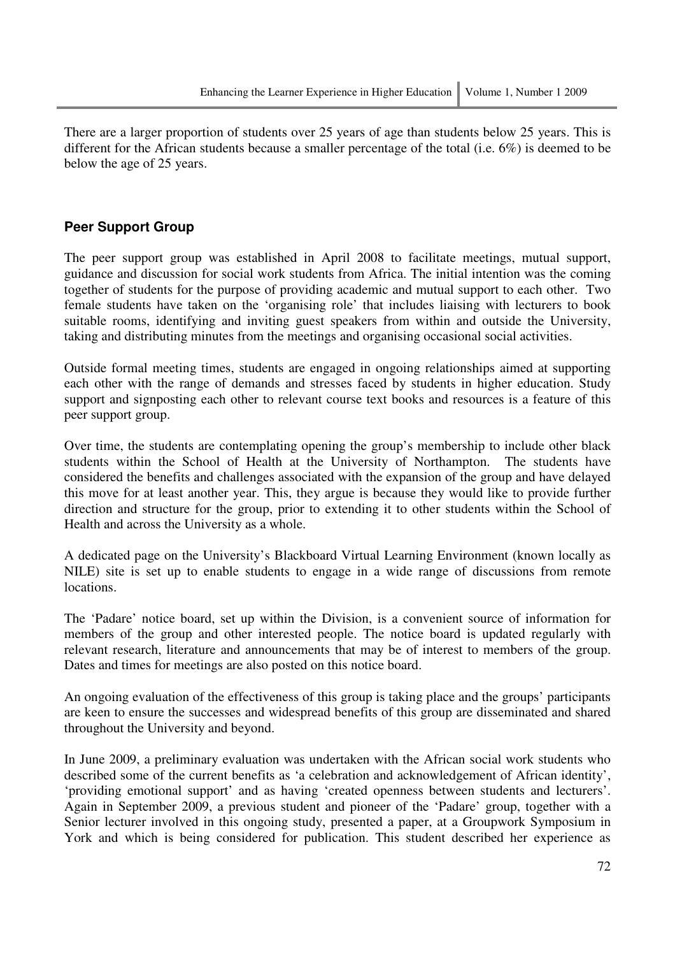There are a larger proportion of students over 25 years of age than students below 25 years. This is different for the African students because a smaller percentage of the total (i.e. 6%) is deemed to be below the age of 25 years.

### **Peer Support Group**

The peer support group was established in April 2008 to facilitate meetings, mutual support, guidance and discussion for social work students from Africa. The initial intention was the coming together of students for the purpose of providing academic and mutual support to each other. Two female students have taken on the 'organising role' that includes liaising with lecturers to book suitable rooms, identifying and inviting guest speakers from within and outside the University, taking and distributing minutes from the meetings and organising occasional social activities.

Outside formal meeting times, students are engaged in ongoing relationships aimed at supporting each other with the range of demands and stresses faced by students in higher education. Study support and signposting each other to relevant course text books and resources is a feature of this peer support group.

Over time, the students are contemplating opening the group's membership to include other black students within the School of Health at the University of Northampton. The students have considered the benefits and challenges associated with the expansion of the group and have delayed this move for at least another year. This, they argue is because they would like to provide further direction and structure for the group, prior to extending it to other students within the School of Health and across the University as a whole.

A dedicated page on the University's Blackboard Virtual Learning Environment (known locally as NILE) site is set up to enable students to engage in a wide range of discussions from remote locations.

The 'Padare' notice board, set up within the Division, is a convenient source of information for members of the group and other interested people. The notice board is updated regularly with relevant research, literature and announcements that may be of interest to members of the group. Dates and times for meetings are also posted on this notice board.

An ongoing evaluation of the effectiveness of this group is taking place and the groups' participants are keen to ensure the successes and widespread benefits of this group are disseminated and shared throughout the University and beyond.

In June 2009, a preliminary evaluation was undertaken with the African social work students who described some of the current benefits as 'a celebration and acknowledgement of African identity', 'providing emotional support' and as having 'created openness between students and lecturers'. Again in September 2009, a previous student and pioneer of the 'Padare' group, together with a Senior lecturer involved in this ongoing study, presented a paper, at a Groupwork Symposium in York and which is being considered for publication. This student described her experience as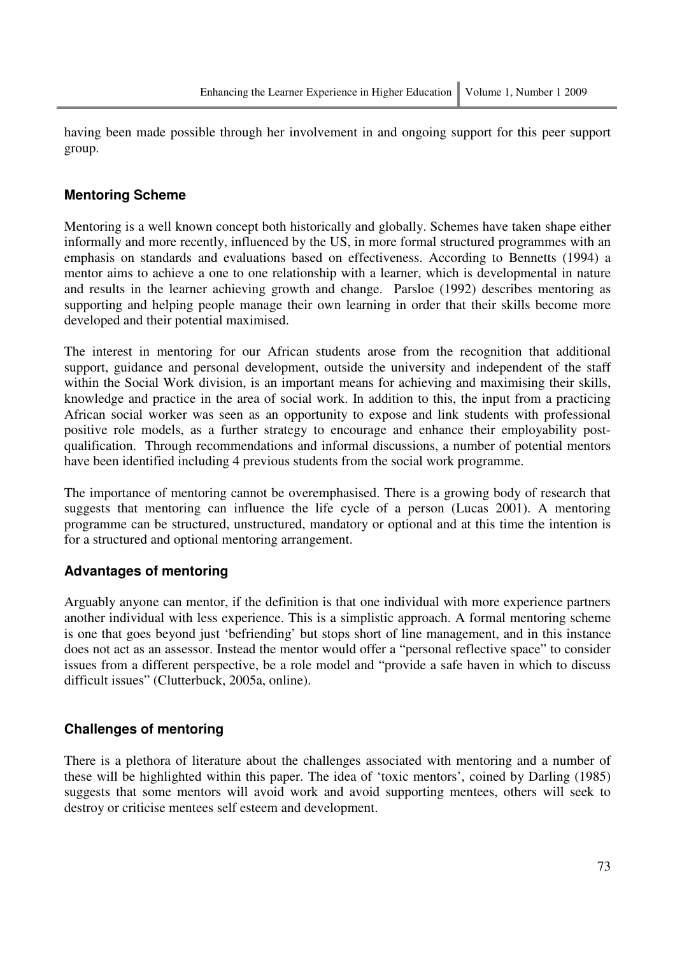having been made possible through her involvement in and ongoing support for this peer support group.

### **Mentoring Scheme**

Mentoring is a well known concept both historically and globally. Schemes have taken shape either informally and more recently, influenced by the US, in more formal structured programmes with an emphasis on standards and evaluations based on effectiveness. According to Bennetts (1994) a mentor aims to achieve a one to one relationship with a learner, which is developmental in nature and results in the learner achieving growth and change. Parsloe (1992) describes mentoring as supporting and helping people manage their own learning in order that their skills become more developed and their potential maximised.

The interest in mentoring for our African students arose from the recognition that additional support, guidance and personal development, outside the university and independent of the staff within the Social Work division, is an important means for achieving and maximising their skills, knowledge and practice in the area of social work. In addition to this, the input from a practicing African social worker was seen as an opportunity to expose and link students with professional positive role models, as a further strategy to encourage and enhance their employability postqualification. Through recommendations and informal discussions, a number of potential mentors have been identified including 4 previous students from the social work programme.

The importance of mentoring cannot be overemphasised. There is a growing body of research that suggests that mentoring can influence the life cycle of a person (Lucas 2001). A mentoring programme can be structured, unstructured, mandatory or optional and at this time the intention is for a structured and optional mentoring arrangement.

# **Advantages of mentoring**

Arguably anyone can mentor, if the definition is that one individual with more experience partners another individual with less experience. This is a simplistic approach. A formal mentoring scheme is one that goes beyond just 'befriending' but stops short of line management, and in this instance does not act as an assessor. Instead the mentor would offer a "personal reflective space" to consider issues from a different perspective, be a role model and "provide a safe haven in which to discuss difficult issues" (Clutterbuck, 2005a, online).

### **Challenges of mentoring**

There is a plethora of literature about the challenges associated with mentoring and a number of these will be highlighted within this paper. The idea of 'toxic mentors', coined by Darling (1985) suggests that some mentors will avoid work and avoid supporting mentees, others will seek to destroy or criticise mentees self esteem and development.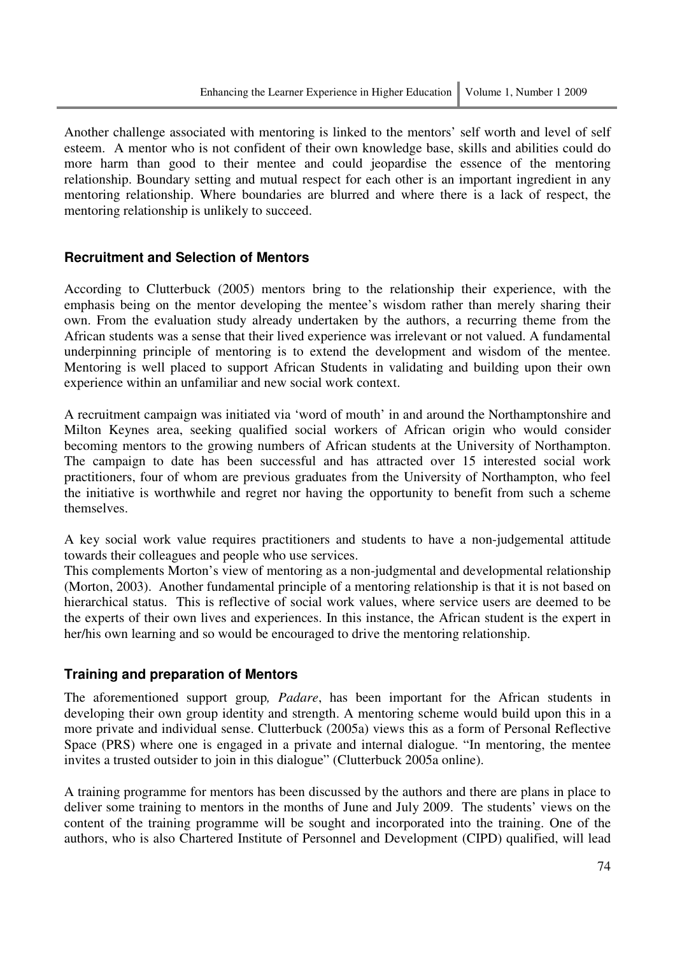Another challenge associated with mentoring is linked to the mentors' self worth and level of self esteem. A mentor who is not confident of their own knowledge base, skills and abilities could do more harm than good to their mentee and could jeopardise the essence of the mentoring relationship. Boundary setting and mutual respect for each other is an important ingredient in any mentoring relationship. Where boundaries are blurred and where there is a lack of respect, the mentoring relationship is unlikely to succeed.

### **Recruitment and Selection of Mentors**

According to Clutterbuck (2005) mentors bring to the relationship their experience, with the emphasis being on the mentor developing the mentee's wisdom rather than merely sharing their own. From the evaluation study already undertaken by the authors, a recurring theme from the African students was a sense that their lived experience was irrelevant or not valued. A fundamental underpinning principle of mentoring is to extend the development and wisdom of the mentee. Mentoring is well placed to support African Students in validating and building upon their own experience within an unfamiliar and new social work context.

A recruitment campaign was initiated via 'word of mouth' in and around the Northamptonshire and Milton Keynes area, seeking qualified social workers of African origin who would consider becoming mentors to the growing numbers of African students at the University of Northampton. The campaign to date has been successful and has attracted over 15 interested social work practitioners, four of whom are previous graduates from the University of Northampton, who feel the initiative is worthwhile and regret nor having the opportunity to benefit from such a scheme themselves.

A key social work value requires practitioners and students to have a non-judgemental attitude towards their colleagues and people who use services.

This complements Morton's view of mentoring as a non-judgmental and developmental relationship (Morton, 2003). Another fundamental principle of a mentoring relationship is that it is not based on hierarchical status. This is reflective of social work values, where service users are deemed to be the experts of their own lives and experiences. In this instance, the African student is the expert in her/his own learning and so would be encouraged to drive the mentoring relationship.

### **Training and preparation of Mentors**

The aforementioned support group*, Padare*, has been important for the African students in developing their own group identity and strength. A mentoring scheme would build upon this in a more private and individual sense. Clutterbuck (2005a) views this as a form of Personal Reflective Space (PRS) where one is engaged in a private and internal dialogue. "In mentoring, the mentee invites a trusted outsider to join in this dialogue" (Clutterbuck 2005a online).

A training programme for mentors has been discussed by the authors and there are plans in place to deliver some training to mentors in the months of June and July 2009. The students' views on the content of the training programme will be sought and incorporated into the training. One of the authors, who is also Chartered Institute of Personnel and Development (CIPD) qualified, will lead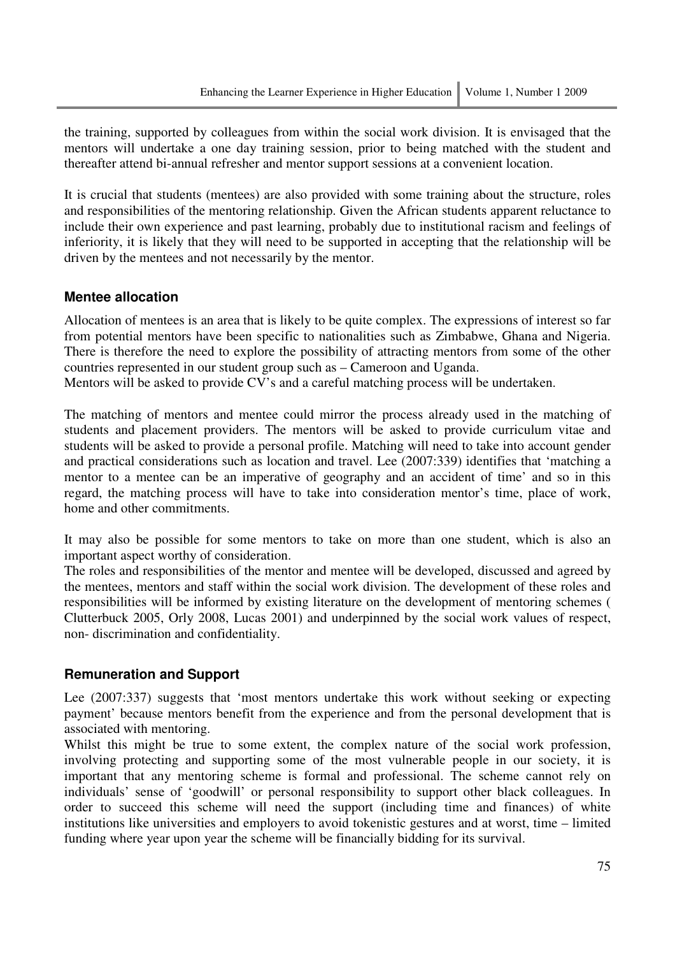the training, supported by colleagues from within the social work division. It is envisaged that the mentors will undertake a one day training session, prior to being matched with the student and thereafter attend bi-annual refresher and mentor support sessions at a convenient location.

It is crucial that students (mentees) are also provided with some training about the structure, roles and responsibilities of the mentoring relationship. Given the African students apparent reluctance to include their own experience and past learning, probably due to institutional racism and feelings of inferiority, it is likely that they will need to be supported in accepting that the relationship will be driven by the mentees and not necessarily by the mentor.

#### **Mentee allocation**

Allocation of mentees is an area that is likely to be quite complex. The expressions of interest so far from potential mentors have been specific to nationalities such as Zimbabwe, Ghana and Nigeria. There is therefore the need to explore the possibility of attracting mentors from some of the other countries represented in our student group such as – Cameroon and Uganda.

Mentors will be asked to provide CV's and a careful matching process will be undertaken.

The matching of mentors and mentee could mirror the process already used in the matching of students and placement providers. The mentors will be asked to provide curriculum vitae and students will be asked to provide a personal profile. Matching will need to take into account gender and practical considerations such as location and travel. Lee (2007:339) identifies that 'matching a mentor to a mentee can be an imperative of geography and an accident of time' and so in this regard, the matching process will have to take into consideration mentor's time, place of work, home and other commitments.

It may also be possible for some mentors to take on more than one student, which is also an important aspect worthy of consideration.

The roles and responsibilities of the mentor and mentee will be developed, discussed and agreed by the mentees, mentors and staff within the social work division. The development of these roles and responsibilities will be informed by existing literature on the development of mentoring schemes ( Clutterbuck 2005, Orly 2008, Lucas 2001) and underpinned by the social work values of respect, non- discrimination and confidentiality.

#### **Remuneration and Support**

Lee (2007:337) suggests that 'most mentors undertake this work without seeking or expecting payment' because mentors benefit from the experience and from the personal development that is associated with mentoring.

Whilst this might be true to some extent, the complex nature of the social work profession, involving protecting and supporting some of the most vulnerable people in our society, it is important that any mentoring scheme is formal and professional. The scheme cannot rely on individuals' sense of 'goodwill' or personal responsibility to support other black colleagues. In order to succeed this scheme will need the support (including time and finances) of white institutions like universities and employers to avoid tokenistic gestures and at worst, time – limited funding where year upon year the scheme will be financially bidding for its survival.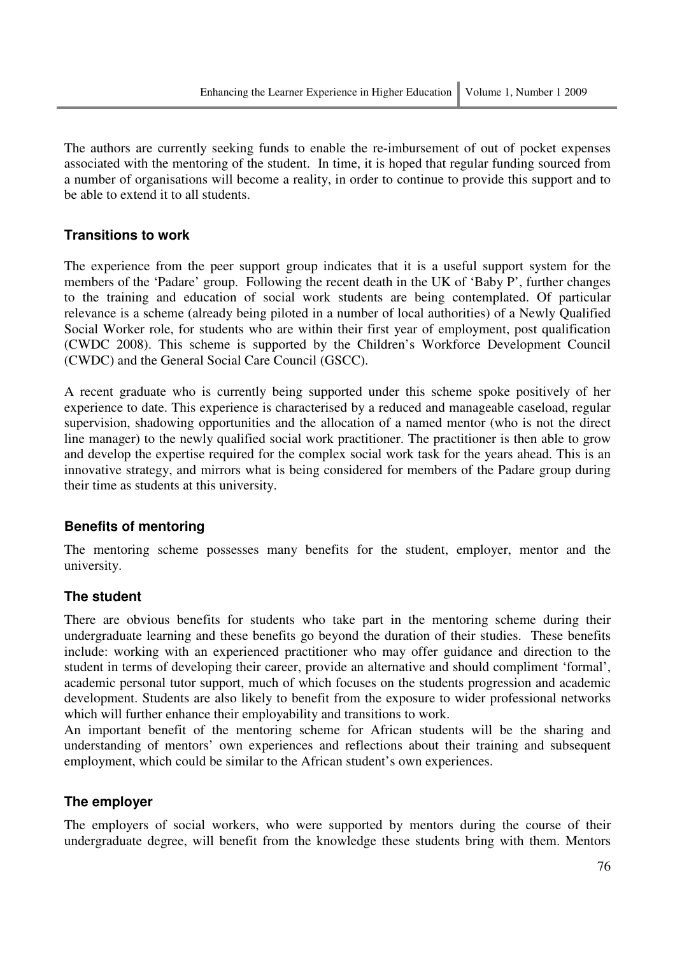The authors are currently seeking funds to enable the re-imbursement of out of pocket expenses associated with the mentoring of the student. In time, it is hoped that regular funding sourced from a number of organisations will become a reality, in order to continue to provide this support and to be able to extend it to all students.

### **Transitions to work**

The experience from the peer support group indicates that it is a useful support system for the members of the 'Padare' group. Following the recent death in the UK of 'Baby P', further changes to the training and education of social work students are being contemplated. Of particular relevance is a scheme (already being piloted in a number of local authorities) of a Newly Qualified Social Worker role, for students who are within their first year of employment, post qualification (CWDC 2008). This scheme is supported by the Children's Workforce Development Council (CWDC) and the General Social Care Council (GSCC).

A recent graduate who is currently being supported under this scheme spoke positively of her experience to date. This experience is characterised by a reduced and manageable caseload, regular supervision, shadowing opportunities and the allocation of a named mentor (who is not the direct line manager) to the newly qualified social work practitioner. The practitioner is then able to grow and develop the expertise required for the complex social work task for the years ahead. This is an innovative strategy, and mirrors what is being considered for members of the Padare group during their time as students at this university.

### **Benefits of mentoring**

The mentoring scheme possesses many benefits for the student, employer, mentor and the university.

### **The student**

There are obvious benefits for students who take part in the mentoring scheme during their undergraduate learning and these benefits go beyond the duration of their studies. These benefits include: working with an experienced practitioner who may offer guidance and direction to the student in terms of developing their career, provide an alternative and should compliment 'formal', academic personal tutor support, much of which focuses on the students progression and academic development. Students are also likely to benefit from the exposure to wider professional networks which will further enhance their employability and transitions to work.

An important benefit of the mentoring scheme for African students will be the sharing and understanding of mentors' own experiences and reflections about their training and subsequent employment, which could be similar to the African student's own experiences.

### **The employer**

The employers of social workers, who were supported by mentors during the course of their undergraduate degree, will benefit from the knowledge these students bring with them. Mentors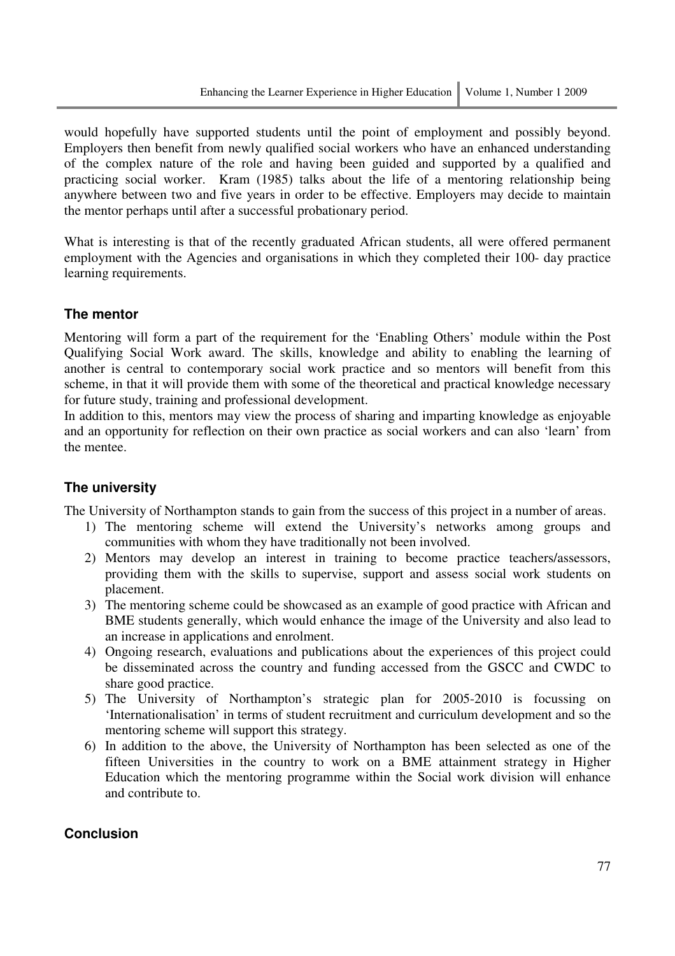would hopefully have supported students until the point of employment and possibly beyond. Employers then benefit from newly qualified social workers who have an enhanced understanding of the complex nature of the role and having been guided and supported by a qualified and practicing social worker. Kram (1985) talks about the life of a mentoring relationship being anywhere between two and five years in order to be effective. Employers may decide to maintain the mentor perhaps until after a successful probationary period.

What is interesting is that of the recently graduated African students, all were offered permanent employment with the Agencies and organisations in which they completed their 100- day practice learning requirements.

# **The mentor**

Mentoring will form a part of the requirement for the 'Enabling Others' module within the Post Qualifying Social Work award. The skills, knowledge and ability to enabling the learning of another is central to contemporary social work practice and so mentors will benefit from this scheme, in that it will provide them with some of the theoretical and practical knowledge necessary for future study, training and professional development.

In addition to this, mentors may view the process of sharing and imparting knowledge as enjoyable and an opportunity for reflection on their own practice as social workers and can also 'learn' from the mentee.

# **The university**

The University of Northampton stands to gain from the success of this project in a number of areas.

- 1) The mentoring scheme will extend the University's networks among groups and communities with whom they have traditionally not been involved.
- 2) Mentors may develop an interest in training to become practice teachers/assessors, providing them with the skills to supervise, support and assess social work students on placement.
- 3) The mentoring scheme could be showcased as an example of good practice with African and BME students generally, which would enhance the image of the University and also lead to an increase in applications and enrolment.
- 4) Ongoing research, evaluations and publications about the experiences of this project could be disseminated across the country and funding accessed from the GSCC and CWDC to share good practice.
- 5) The University of Northampton's strategic plan for 2005-2010 is focussing on 'Internationalisation' in terms of student recruitment and curriculum development and so the mentoring scheme will support this strategy.
- 6) In addition to the above, the University of Northampton has been selected as one of the fifteen Universities in the country to work on a BME attainment strategy in Higher Education which the mentoring programme within the Social work division will enhance and contribute to.

# **Conclusion**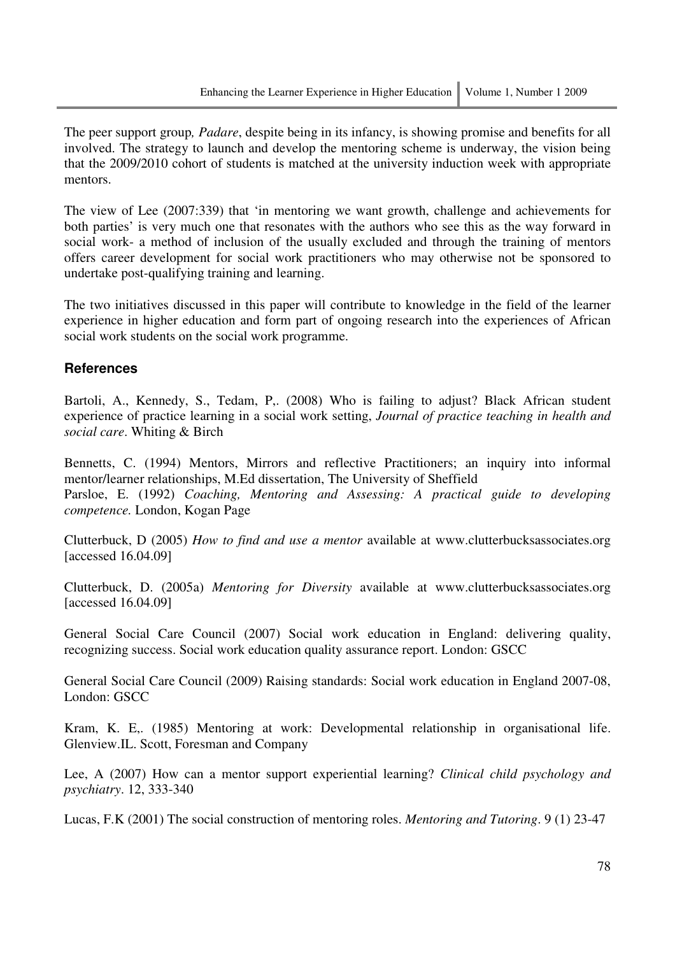The peer support group*, Padare*, despite being in its infancy, is showing promise and benefits for all involved. The strategy to launch and develop the mentoring scheme is underway, the vision being that the 2009/2010 cohort of students is matched at the university induction week with appropriate mentors.

The view of Lee (2007:339) that 'in mentoring we want growth, challenge and achievements for both parties' is very much one that resonates with the authors who see this as the way forward in social work- a method of inclusion of the usually excluded and through the training of mentors offers career development for social work practitioners who may otherwise not be sponsored to undertake post-qualifying training and learning.

The two initiatives discussed in this paper will contribute to knowledge in the field of the learner experience in higher education and form part of ongoing research into the experiences of African social work students on the social work programme.

### **References**

Bartoli, A., Kennedy, S., Tedam, P., (2008) Who is failing to adjust? Black African student experience of practice learning in a social work setting, *Journal of practice teaching in health and social care*. Whiting & Birch

Bennetts, C. (1994) Mentors, Mirrors and reflective Practitioners; an inquiry into informal mentor/learner relationships, M.Ed dissertation, The University of Sheffield Parsloe, E. (1992) *Coaching, Mentoring and Assessing: A practical guide to developing competence.* London, Kogan Page

Clutterbuck, D (2005) *How to find and use a mentor* available at www.clutterbucksassociates.org [accessed 16.04.09]

Clutterbuck, D. (2005a) *Mentoring for Diversity* available at www.clutterbucksassociates.org [accessed 16.04.09]

General Social Care Council (2007) Social work education in England: delivering quality, recognizing success. Social work education quality assurance report. London: GSCC

General Social Care Council (2009) Raising standards: Social work education in England 2007-08, London: GSCC

Kram, K. E,. (1985) Mentoring at work: Developmental relationship in organisational life. Glenview.IL. Scott, Foresman and Company

Lee, A (2007) How can a mentor support experiential learning? *Clinical child psychology and psychiatry*. 12, 333-340

Lucas, F.K (2001) The social construction of mentoring roles. *Mentoring and Tutoring*. 9 (1) 23-47